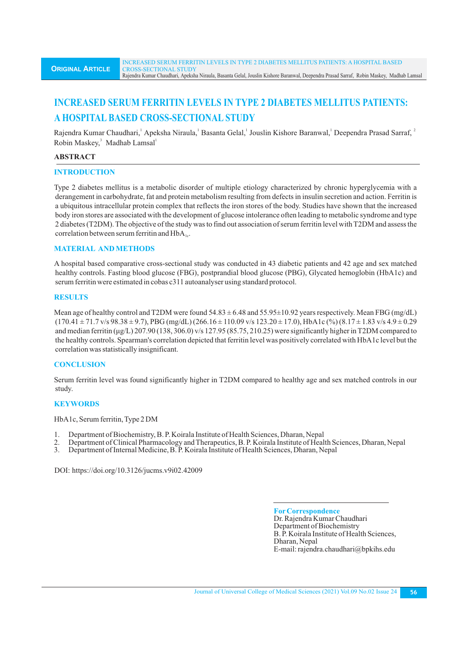# **INCREASED SERUM FERRITIN LEVELS IN TYPE 2 DIABETES MELLITUS PATIENTS: A HOSPITAL BASED CROSS-SECTIONAL STUDY**

Rajendra Kumar Chaudhari, Apeksha Niraula, Basanta Gelal, Jouslin Kishore Baranwal, Deependra Prasad Sarraf, <sup>2</sup> Robin Maskey,<sup>3</sup> Madhab Lamsal<sup>1</sup>

#### **ABSTRACT**

#### **INTRODUCTION**

Type 2 diabetes mellitus is a metabolic disorder of multiple etiology characterized by chronic hyperglycemia with a derangement in carbohydrate, fat and protein metabolism resulting from defects in insulin secretion and action. Ferritin is a ubiquitous intracellular protein complex that reflects the iron stores of the body. Studies have shown that the increased body iron stores are associated with the development of glucose intolerance often leading to metabolic syndrome and type 2 diabetes (T2DM). The objective of the study was to find out association of serum ferritin level with T2DM and assess the correlation between serum ferritin and  $HbA$ ...

#### **MATERIAL AND METHODS**

A hospital based comparative cross-sectional study was conducted in 43 diabetic patients and 42 age and sex matched healthy controls. Fasting blood glucose (FBG), postprandial blood glucose (PBG), Glycated hemoglobin (HbA1c) and serum ferritin were estimated in cobas c311 autoanalyser using standard protocol.

#### **RESULTS**

Mean age of healthy control and T2DM were found  $54.83 \pm 6.48$  and  $55.95 \pm 10.92$  years respectively. Mean FBG (mg/dL)  $(170.41 \pm 71.7 \text{ v/s } 98.38 \pm 9.7)$ , PBG  $\left(\frac{\text{mg}}{\text{d}L}\right) (266.16 \pm 110.09 \text{ v/s } 123.20 \pm 17.0)$ , HbA1c  $\left(\frac{\text{v}}{\text{o}}\right) (8.17 \pm 1.83 \text{ v/s } 4.9 \pm 0.29$ and median ferritin (μg/L) 207.90 (138, 306.0) v/s 127.95 (85.75, 210.25) were significantly higher in T2DM compared to the healthy controls. Spearman's correlation depicted that ferritin level was positively correlated with HbA1c level but the correlation was statistically insignificant.

# **CONCLUSION**

Serum ferritin level was found significantly higher in T2DM compared to healthy age and sex matched controls in our study.

# **KEYWORDS**

HbA1c, Serum ferritin, Type 2 DM

- 1. Department of Biochemistry, B. P. Koirala Institute of Health Sciences, Dharan, Nepal
- 2. Department of Clinical Pharmacology and Therapeutics, B. P. Koirala Institute of Health Sciences, Dharan, Nepal<br>3. Department of Internal Medicine, B. P. Koirala Institute of Health Sciences, Dharan, Nepal
- 3. Department of Internal Medicine, B. P. Koirala Institute of Health Sciences, Dharan, Nepal

DOI: https://doi.org/10.3126/jucms.v9i02.42009

**ForCorrespondence** Dr. Rajendra Kumar Chaudhari Department of Biochemistry B. P. Koirala Institute of Health Sciences, Dharan, Nepal E-mail: rajendra.chaudhari@bpkihs.edu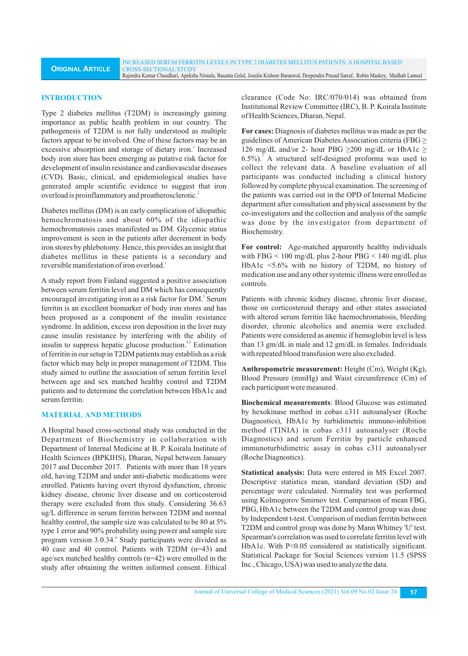#### **INTRODUCTION**

**ORIGINAL ARTICLE**

Type 2 diabetes mellitus (T2DM) is increasingly gaining importance as public health problem in our country. The pathogenesis of T2DM is not fully understood as multiple factors appear to be involved. One of these factors may be an excessive absorption and storage of dietary iron.<sup>1</sup> Increased body iron store has been emerging as putative risk factor for development of insulin resistance and cardiovascular diseases (CVD). Basic, clinical, and epidemiological studies have generated ample scientific evidence to suggest that iron overload is proinflammatory and proatherosclerotic.<sup>2</sup>

Diabetes mellitus (DM) is an early complication of idiopathic hemochromatosis and about 60% of the idiopathic hemochromatosis cases manifested as DM. Glycemic status improvement is seen in the patients after decrement in body iron stores by phlebotomy. Hence, this provides an insight that diabetes mellitus in these patients is a secondary and reversible manifestation of iron overload.<sup>1</sup>

A study report from Finland suggested a positive association between serum ferritin level and DM which has consequently encouraged investigating iron as a risk factor for DM.<sup>3</sup> Serum ferritin is an excellent biomarker of body iron stores and has been proposed as a component of the insulin resistance syndrome. In addition, excess iron deposition in the liver may cause insulin resistance by interfering with the ability of insulin to suppress hepatic glucose production.<sup>4,5</sup> Estimation of ferritin in our setup in T2DM patients may establish as a risk factor which may help in proper management of T2DM. This study aimed to outline the association of serum ferritin level between age and sex matched healthy control and T2DM patients and to determine the correlation between HbA1c and serum ferritin.

#### **MATERIAL AND METHODS**

A Hospital based cross-sectional study was conducted in the Department of Biochemistry in collaboration with Department of Internal Medicine at B. P. Koirala Institute of Health Sciences (BPKIHS), Dharan, Nepal between January 2017 and December 2017. Patients with more than 18 years old, having T2DM and under anti-diabetic medications were enrolled. Patients having overt thyroid dysfunction, chronic kidney disease, chronic liver disease and on corticosteroid therapy were excluded from this study. Considering 36.63 ug/L difference in serum ferritin between T2DM and normal healthy control, the sample size was calculated to be 80 at 5% type 1 error and 90% probability using power and sample size program version 3.0.34. Study participants were divided as 40 case and 40 control. Patients with T2DM (n=43) and age/sex matched healthy controls (n=42) were enrolled in the study after obtaining the written informed consent. Ethical

clearance (Code No: IRC/070/014) was obtained from Institutional Review Committee (IRC), B. P. Koirala Institute of Health Sciences, Dharan, Nepal.

**For cases:** Diagnosis of diabetes mellitus was made as per the guidelines of American Diabetes Association criteria (FBG ≥ 126 mg/dL and/or 2- hour PBG  $\geq$ 200 mg/dL or HbA1c  $\geq$ 7 6.5%). A structured self-designed proforma was used to collect the relevant data. A baseline evaluation of all participants was conducted including a clinical history followed by complete physical examination. The screening of the patients was carried out in the OPD of Internal Medicine department after consultation and physical assessment by the co-investigators and the collection and analysis of the sample was done by the investigator from department of Biochemistry.

**For control:** Age-matched apparently healthy individuals with FBG < 100 mg/dL plus 2-hour PBG < 140 mg/dL plus HbA1c <5.6% with no history of T2DM, no history of medication use and any other systemic illness were enrolled as controls.

Patients with chronic kidney disease, chronic liver disease, those on corticosteroid therapy and other states associated with altered serum ferritin like haemochromatosis, bleeding disorder, chronic alcoholics and anemia were excluded. Patients were considered as anemic if hemoglobin level is less than 13 gm/dL in male and 12 gm/dL in females. Individuals with repeated blood transfusion were also excluded.

**Anthropometric measurement:** Height (Cm), Weight (Kg), Blood Pressure (mmHg) and Waist circumference (Cm) of each participant were measured.

**Biochemical measurements**: Blood Glucose was estimated by hexokinase method in cobas c311 autoanalyser (Roche Diagnostics), HbA1c by turbidimetric immuno-inhibition method (TINIA) in cobas c311 autoanalyser (Roche Diagnostics) and serum Ferritin by particle enhanced immunoturbidimetric assay in cobas c311 autoanalyser (Roche Diagnostics).

**Statistical analysis:** Data were entered in MS Excel 2007. Descriptive statistics mean, standard deviation (SD) and percentage were calculated. Normality test was performed using Kolmogorov Smirnov test. Comparison of mean FBG, PBG, HbA1c between the T2DM and control group was done by Independent t-test. Comparison of median ferritin between T2DM and control group was done by Mann Whitney 'U' test. Spearman's correlation was used to correlate ferritin level with HbA1c. With P<0.05 considered as statistically significant. Statistical Package for Social Sciences version 11.5 (SPSS Inc., Chicago, USA) was used to analyze the data.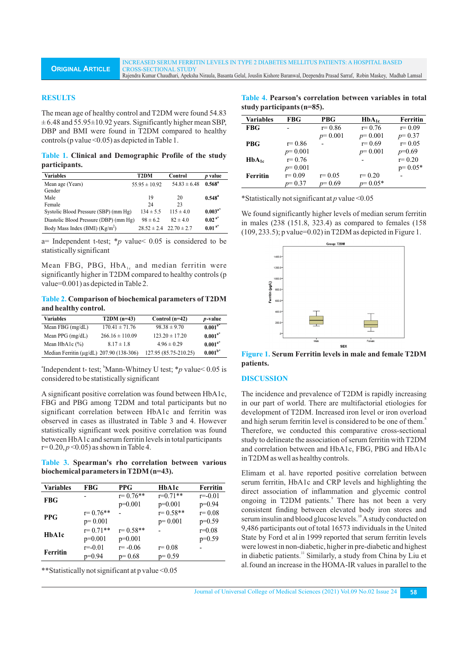#### **RESULTS**

**ORIGINAL ARTICLE**

The mean age of healthy control and T2DM were found 54.83  $\pm$  6.48 and 55.95 $\pm$ 10.92 years. Significantly higher mean SBP, DBP and BMI were found in T2DM compared to healthy controls (p value <0.05) as depicted in Table 1.

**Table 1. Clinical and Demographic Profile of the study participants.**

| <b>Variables</b>                       | T2DM              | Control                         | p value         |
|----------------------------------------|-------------------|---------------------------------|-----------------|
| Mean age (Years)                       | $55.95 \pm 10.92$ | 54 $83 \pm 648$                 | $0.568^{\rm a}$ |
| Gender                                 |                   |                                 |                 |
| Male                                   | 19                | 20                              | $0.548^{\rm a}$ |
| Female                                 | 24                | 23                              |                 |
| Systolic Blood Pressure (SBP) (mm Hg)  | $134 \pm 5.5$     | $115 \pm 40$                    | $0.003^{a*}$    |
| Diastolic Blood Pressure (DBP) (mm Hg) | $98 \pm 6.2$      | $82 \pm 4.0$                    | $0.02^{a*}$     |
| Body Mass Index (BMI) $(Kg/m2)$        |                   | $28.52 \pm 2.4$ $22.70 \pm 2.7$ | $0.01^{a*}$     |

a= Independent t-test; \**p* value< 0.05 is considered to be statistically significant

Mean FBG, PBG,  $HbA_{1c}$  and median ferritin were significantly higher in T2DM compared to healthy controls (p value=0.001) as depicted in Table 2.

**Table 2. Comparison of biochemical parameters of T2DM and healthy control.**

| <b>Variables</b>                               | $T2DM(n=43)$        | Control $(n=42)$      | <i>p</i> -value |
|------------------------------------------------|---------------------|-----------------------|-----------------|
| Mean FBG $(mg/dL)$                             | $170.41 \pm 71.76$  | $98.38 \pm 9.70$      | $0.001^{a*}$    |
| Mean PPG $(mg/dL)$                             | $266.16 \pm 110.09$ | $123.20 \pm 17.20$    | $0.001^{a*}$    |
| Mean HbA1c $(\%)$                              | $8.17 \pm 1.8$      | $4.96 \pm 0.29$       | $0.001^{a*}$    |
| Median Ferritin ( $\mu$ g/dL) 207.90 (138-306) |                     | 127.95 (85.75-210.25) | $0.001^{b*}$    |

<sup>a</sup> Independent t- test;  $\mathrm{Mann-Whitney}$  U test;  $\mathrm{*}p$  value < 0.05 is considered to be statistically significant

A significant positive correlation was found between HbA1c, FBG and PBG among T2DM and total participants but no significant correlation between HbA1c and ferritin was observed in cases as illustrated in Table 3 and 4. However statistically significant week positive correlation was found between HbA1c and serum ferritin levels in total participants  $r= 0.20, p<0.05$  as shown in Table 4.

**Table 3. Spearman's rho correlation between various biochemical parameters in T2DM (n=43).**

| <b>Variables</b> | <b>FBG</b>   | <b>PPG</b>   | HbA1c        | Ferritin    |
|------------------|--------------|--------------|--------------|-------------|
| <b>FBG</b>       |              | $r = 0.76**$ | $r=0.71**$   | $r = -0.01$ |
|                  |              | $p=0.001$    | $p=0.001$    | $p=0.94$    |
| <b>PPG</b>       | $r = 0.76**$ |              | $r = 0.58**$ | $r = 0.08$  |
|                  | $p=0.001$    |              | $p=0.001$    | $p=0.59$    |
| HbA1c            | $r = 0.71**$ | $r = 0.58**$ |              | $r=0.08$    |
|                  | $p=0.001$    | $p=0.001$    |              | $p=0.59$    |
| <b>Ferritin</b>  | $r = -0.01$  | $r = -0.06$  | $r = 0.08$   |             |
|                  | $p=0.94$     | $p=0.68$     | $p=0.59$     |             |

\*\*Statistically not significant at p value <0.05

**Table 4. Pearson's correlation between variables in total study participants (n=85).**

| <b>Variables</b> | <b>FBG</b> | <b>PBG</b> | $HbA_{1c}$ | <b>Ferritin</b> |
|------------------|------------|------------|------------|-----------------|
| <b>FBG</b>       |            | $r = 0.86$ | $r = 0.76$ | $r = 0.09$      |
|                  |            | $p=0.001$  | $p=0.001$  | $p=0.37$        |
| <b>PBG</b>       | $r = 0.86$ |            | $r = 0.69$ | $r = 0.05$      |
|                  | $p=0.001$  |            | $p=0.001$  | $p=0.69$        |
| $HbA_{1c}$       | $r = 0.76$ |            |            | $r = 0.20$      |
|                  | $p=0.001$  |            |            | $p=0.05*$       |
| <b>Ferritin</b>  | $r = 0.09$ | $r = 0.05$ | $r = 0.20$ |                 |
|                  | $p=0.37$   | $p=0.69$   | $p=0.05*$  |                 |

\*Statistically not significant at *p* value <0.05

We found significantly higher levels of median serum ferritin in males (238 (151.8, 323.4) as compared to females (158  $(109, 233.5)$ ; p value=0.02) in T2DM as depicted in Figure 1.



**Figure 1. Serum Ferritin levels in male and female T2DM patients.**

### **DISCUSSION**

The incidence and prevalence of T2DM is rapidly increasing in our part of world. There are multifactorial etiologies for development of T2DM. Increased iron level or iron overload and high serum ferritin level is considered to be one of them.<sup>8</sup> Therefore, we conducted this comparative cross-sectional study to delineate the association of serum ferritin with T2DM and correlation between and HbA1c, FBG, PBG and HbA1c in T2DM as well as healthy controls.

Elimam et al. have reported positive correlation between serum ferritin, HbA1c and CRP levels and highlighting the direct association of inflammation and glycemic control ongoing in T2DM patients.<sup>9</sup> There has not been a very consistent finding between elevated body iron stores and serum insulin and blood glucose levels.<sup>10</sup> A study conducted on 9,486 participants out of total 16573 individuals in the United State by Ford et alin 1999 reported that serum ferritin levels were lowest in non-diabetic, higher in pre-diabetic and highest in diabetic patients.<sup>11</sup> Similarly, a study from China by Liu et al.found an increase in the HOMA-IR values in parallel to the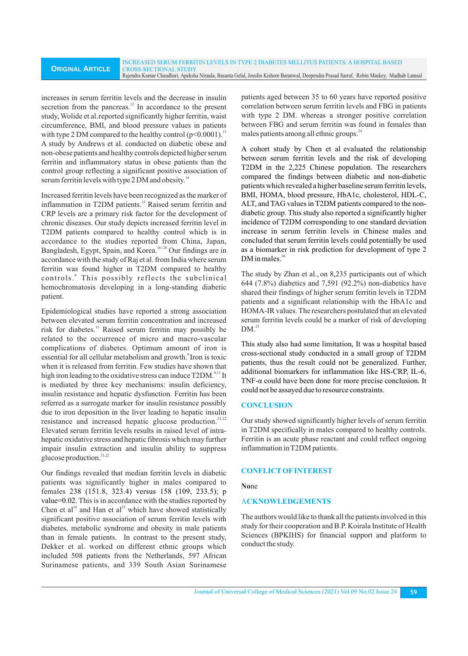increases in serum ferritin levels and the decrease in insulin secretion from the pancreas.<sup>12</sup> In accordance to the present study, Wolide et al.reported significantly higher ferritin, waist circumference, BMI, and blood pressure values in patients with type 2 DM compared to the healthy control  $(p<0.0001)$ .<sup>13</sup> A study by Andrews et al. conducted on diabetic obese and non-obese patients and healthy controls depicted higher serum ferritin and inflammatory status in obese patients than the control group reflecting a significant positive association of serum ferritin levels with type 2 DM and obesity.<sup>14</sup>

Increased ferritin levels have been recognized as the marker of inflammation in T2DM patients.<sup>15</sup> Raised serum ferritin and CRP levels are a primary risk factor for the development of chronic diseases. Our study depicts increased ferritin level in T2DM patients compared to healthy control which is in accordance to the studies reported from China, Japan, Bangladesh, Egypt, Spain, and Korea.<sup>16-20</sup> Our findings are in accordance with the study of Raj et al. from India where serum ferritin was found higher in T2DM compared to healthy controls.<sup>8</sup> This possibly reflects the subclinical hemochromatosis developing in a long-standing diabetic patient.

Epidemiological studies have reported a strong association between elevated serum ferritin concentration and increased risk for diabetes.<sup>11</sup> Raised serum ferritin may possibly be related to the occurrence of micro and macro-vascular complications of diabetes. Optimum amount of iron is essential for all cellular metabolism and growth.<sup>8</sup> Iron is toxic when it is released from ferritin. Few studies have shown that high iron leading to the oxidative stress can induce T2DM.<sup>8,11</sup> It is mediated by three key mechanisms: insulin deficiency, insulin resistance and hepatic dysfunction. Ferritin has been referred as a surrogate marker for insulin resistance possibly due to iron deposition in the liver leading to hepatic insulin resistance and increased hepatic glucose production.<sup>21,22</sup> Elevated serum ferritin levels results in raised level of intrahepatic oxidative stress and hepatic fibrosis which may further impair insulin extraction and insulin ability to suppress glucose production.<sup>21,22</sup>

Our findings revealed that median ferritin levels in diabetic patients was significantly higher in males compared to females 238 (151.8, 323.4) versus 158 (109, 233.5); p value=0.02. This is in accordance with the studies reported by Chen et al<sup>16</sup> and Han et al<sup>23</sup> which have showed statistically significant positive association of serum ferritin levels with diabetes, metabolic syndrome and obesity in male patients than in female patients. In contrast to the present study, Dekker et al. worked on different ethnic groups which included 508 patients from the Netherlands, 597 African Surinamese patients, and 339 South Asian Surinamese

patients aged between 35 to 60 years have reported positive correlation between serum ferritin levels and FBG in patients with type 2 DM. whereas a stronger positive correlation between FBG and serum ferritin was found in females than males patients among all ethnic groups. $^{24}$ 

A cohort study by Chen et al evaluated the relationship between serum ferritin levels and the risk of developing T2DM in the 2,225 Chinese population. The researchers compared the findings between diabetic and non-diabetic patients which revealed a higher baseline serum ferritin levels, BMI, HOMA, blood pressure, HbA1c, cholesterol, HDL-C, ALT, and TAG values in T2DM patients compared to the nondiabetic group. This study also reported a significantly higher incidence of T2DM corresponding to one standard deviation increase in serum ferritin levels in Chinese males and concluded that serum ferritin levels could potentially be used as a biomarker in risk prediction for development of type 2  $DM$  in males.<sup>1</sup>

The study by Zhan et al., on 8,235 participants out of which 644 (7.8%) diabetics and 7,591 (92.2%) non-diabetics have shared their findings of higher serum ferritin levels in T2DM patients and a significant relationship with the HbA1c and HOMA-IR values. The researchers postulated that an elevated serum ferritin levels could be a marker of risk of developing  $DM.<sup>25</sup>$ 

This study also had some limitation, It was a hospital based cross-sectional study conducted in a small group of T2DM patients, thus the result could not be generalized. Further, additional biomarkers for inflammation like HS-CRP, IL-6, TNF- $\alpha$  could have been done for more precise conclusion. It could not be assayed due to resource constraints.

# **CONCLUSION**

Our study showed significantly higher levels of serum ferritin in T2DM specifically in males compared to healthy controls. Ferritin is an acute phase reactant and could reflect ongoing inflammation in T2DM patients.

# **CONFLICTOFINTEREST**

**No**ne

# A**CKNOWLEDGEMENTS**

The authors would like to thank all the patients involved in this study for their cooperation and B.P. Koirala Institute of Health Sciences (BPKIHS) for financial support and platform to conduct the study.